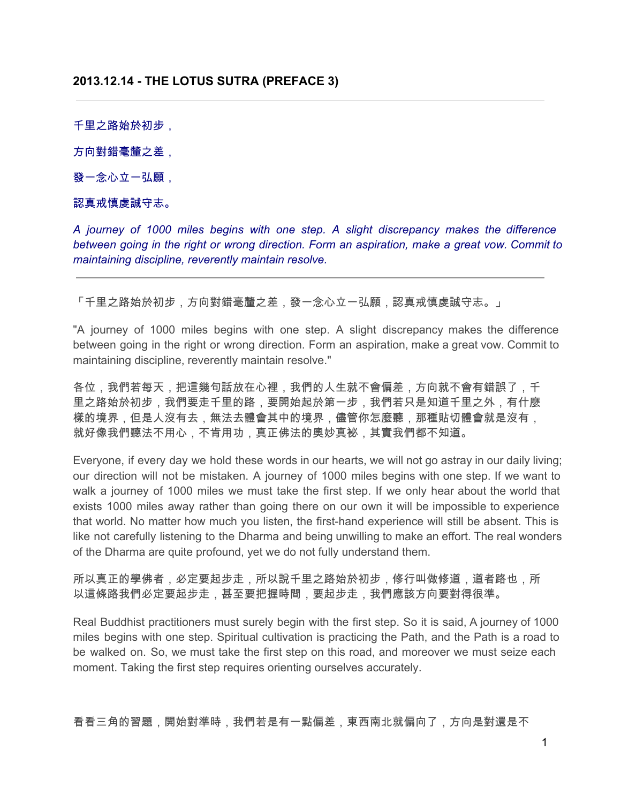千里之路始於初步,

方向對錯毫釐之差,

發一念心立一弘願,

# 認真戒慎虔誠守志。

*A journey of 1000 miles begins with one step. A slight discrepancy makes the difference between going in the right or wrong direction. Form an aspiration, make a great vow. Commit to maintaining discipline, reverently maintain resolve.*

「千里之路始於初步,方向對錯毫釐之差,發一念心立一弘願,認真戒慎虔誠守志。」

"A journey of 1000 miles begins with one step. A slight discrepancy makes the difference between going in the right or wrong direction. Form an aspiration, make a great vow. Commit to maintaining discipline, reverently maintain resolve."

各位,我們若每天,把這幾句話放在心裡,我們的人生就不會偏差,方向就不會有錯誤了,千 里之路始於初步,我們要走千里的路,要開始起於第一步,我們若只是知道千里之外,有什麼 樣的境界,但是人沒有去,無法去體會其中的境界,儘管你怎麼聽,那種貼切體會就是沒有, 就好像我們聽法不用心,不肯用功,真正佛法的奧妙真袐,其實我們都不知道。

Everyone, if every day we hold these words in our hearts, we will not go astray in our daily living; our direction will not be mistaken. A journey of 1000 miles begins with one step. If we want to walk a journey of 1000 miles we must take the first step. If we only hear about the world that exists 1000 miles away rather than going there on our own it will be impossible to experience that world. No matter how much you listen, the first-hand experience will still be absent. This is like not carefully listening to the Dharma and being unwilling to make an effort. The real wonders of the Dharma are quite profound, yet we do not fully understand them.

所以真正的學佛者,必定要起步走,所以說千里之路始於初步,修行叫做修道,道者路也,所 以這條路我們必定要起步走,甚至要把握時間,要起步走,我們應該方向要對得很準。

Real Buddhist practitioners must surely begin with the first step. So it is said, A journey of 1000 miles begins with one step. Spiritual cultivation is practicing the Path, and the Path is a road to be walked on. So, we must take the first step on this road, and moreover we must seize each moment. Taking the first step requires orienting ourselves accurately.

看看三角的習題,開始對準時,我們若是有一點偏差,東西南北就偏向了,方向是對還是不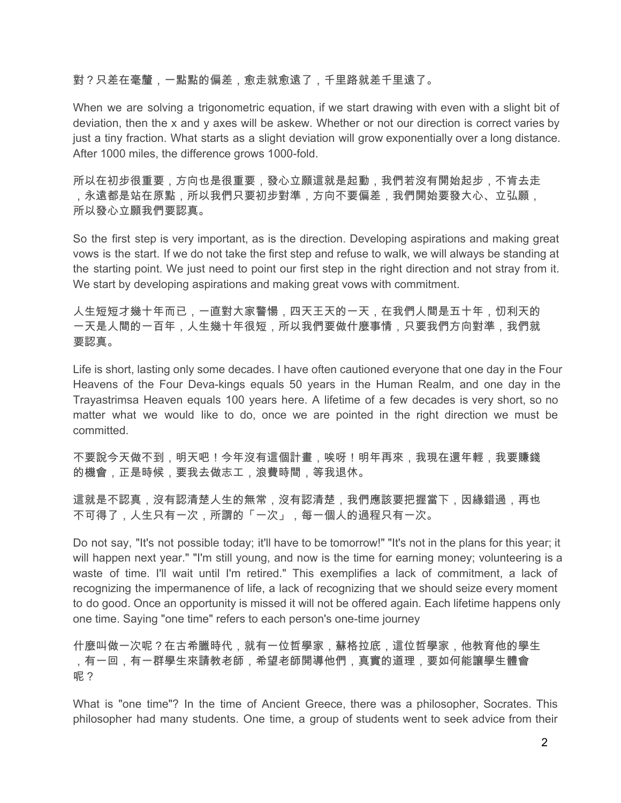# 對?只差在毫釐,一點點的偏差,愈走就愈遠了,千里路就差千里遠了。

When we are solving a trigonometric equation, if we start drawing with even with a slight bit of deviation, then the x and y axes will be askew. Whether or not our direction is correct varies by just a tiny fraction. What starts as a slight deviation will grow exponentially over a long distance. After 1000 miles, the difference grows 1000-fold.

所以在初步很重要,方向也是很重要,發心立願這就是起動,我們若沒有開始起步,不肯去走 ,永遠都是站在原點,所以我們只要初步對準,方向不要偏差,我們開始要發大心、立弘願, 所以發心立願我們要認真。

So the first step is very important, as is the direction. Developing aspirations and making great vows is the start. If we do not take the first step and refuse to walk, we will always be standing at the starting point. We just need to point our first step in the right direction and not stray from it. We start by developing aspirations and making great vows with commitment.

人生短短才幾十年而已,一直對大家警愓,四天王天的一天,在我們人間是五十年,忉利天的 一天是人間的一百年,人生幾十年很短,所以我們要做什麼事情,只要我們方向對準,我們就 要認真。

Life is short, lasting only some decades. I have often cautioned everyone that one day in the Four Heavens of the Four Deva-kings equals 50 years in the Human Realm, and one day in the Trayastrimsa Heaven equals 100 years here. A lifetime of a few decades is very short, so no matter what we would like to do, once we are pointed in the right direction we must be committed.

不要說今天做不到,明天吧!今年沒有這個計畫,唉呀!明年再來,我現在還年輕,我要賺錢 的機會,正是時候,要我去做志工,浪費時間,等我退休。

這就是不認真,沒有認清常,沒有認清楚,我們應該要把握當下,因緣錯過,再也 不可得了,人生只有一次,所謂的「一次」,每一個人的過程只有一次。

Do not say, "It's not possible today; it'll have to be tomorrow!" "It's not in the plans for this year; it will happen next year." "I'm still young, and now is the time for earning money; volunteering is a waste of time. I'll wait until I'm retired." This exemplifies a lack of commitment, a lack of recognizing the impermanence of life, a lack of recognizing that we should seize every moment to do good. Once an opportunity is missed it will not be offered again. Each lifetime happens only one time. Saying "one time" refers to each person's one-time journey

什麼叫做一次呢?在古希臘時代,就有一位哲學家,蘇格拉底,這位哲學家,他教育他的學生 ,有一回,有一群學生來請教老師,希望老師開導他們,真實的道理,要如何能讓學生體會 呢?

What is "one time"? In the time of Ancient Greece, there was a philosopher, Socrates. This philosopher had many students. One time, a group of students went to seek advice from their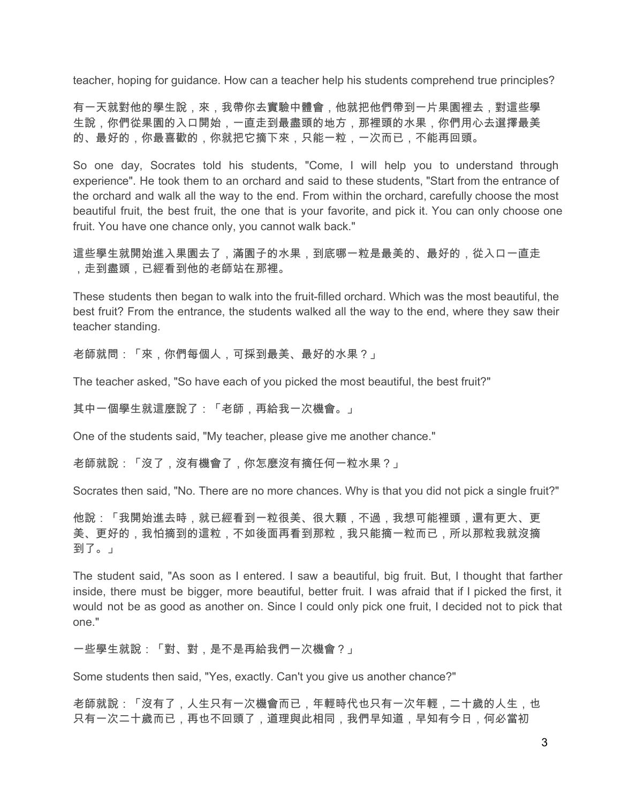teacher, hoping for guidance. How can a teacher help his students comprehend true principles?

有一天就對他的學生說,來,我帶你去實驗中體會,他就把他們帶到一片果園裡去,對這些學 生說,你們從果園的入口開始,一直走到最盡頭的地方,那裡頭的水果,你們用心去選擇最美 的、最好的,你最喜歡的,你就把它摘下來,只能一粒,一次而已,不能再回頭。

So one day, Socrates told his students, "Come, I will help you to understand through experience". He took them to an orchard and said to these students, "Start from the entrance of the orchard and walk all the way to the end. From within the orchard, carefully choose the most beautiful fruit, the best fruit, the one that is your favorite, and pick it. You can only choose one fruit. You have one chance only, you cannot walk back."

這些學生就開始進入果園去了,滿園子的水果,到底哪一粒是最美的、最好的,從入口一直走 ,走到盡頭,已經看到他的老師站在那裡。

These students then began to walk into the fruit-filled orchard. Which was the most beautiful, the best fruit? From the entrance, the students walked all the way to the end, where they saw their teacher standing.

老師就問:「來,你們每個人,可採到最美、最好的水果?」

The teacher asked, "So have each of you picked the most beautiful, the best fruit?"

其中一個學生就這麼說了:「老師,再給我一次機會。」

One of the students said, "My teacher, please give me another chance."

老師就說:「沒了,沒有機會了,你怎麼沒有摘任何一粒水果?」

Socrates then said, "No. There are no more chances. Why is that you did not pick a single fruit?"

他說:「我開始進去時,就已經看到一粒很美、很大顆,不過,我想可能裡頭,還有更大、更 美、更好的,我怕摘到的這粒,不如後面再看到那粒,我只能摘一粒而已,所以那粒我就沒摘 到了。」

The student said, "As soon as I entered. I saw a beautiful, big fruit. But, I thought that farther inside, there must be bigger, more beautiful, better fruit. I was afraid that if I picked the first, it would not be as good as another on. Since I could only pick one fruit, I decided not to pick that one."

一些學生就說:「對、對,是不是再給我們一次機會?」

Some students then said, "Yes, exactly. Can't you give us another chance?"

老師就說:「沒有了,人生只有一次機會而已,年輕時代也只有一次年輕,二十歲的人生,也 只有一次二十歲而已,再也不回頭了,道理與此相同,我們早知道,早知有今日,何必當初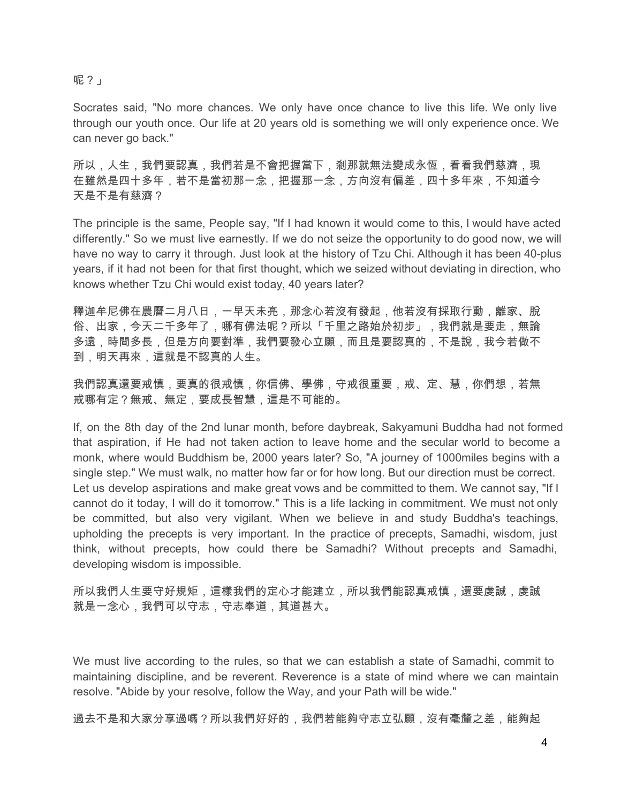# 呢?」

Socrates said, "No more chances. We only have once chance to live this life. We only live through our youth once. Our life at 20 years old is something we will only experience once. We can never go back."

所以,人生,我們要認真,我們若是不會把握當下,剎那就無法變成永恆,看看我們慈濟,現 在雖然是四十多年,若不是當初那一念,把握那一念,方向沒有偏差,四十多年來,不知道今 天是不是有慈濟?

The principle is the same, People say, "If I had known it would come to this, I would have acted differently." So we must live earnestly. If we do not seize the opportunity to do good now, we will have no way to carry it through. Just look at the history of Tzu Chi. Although it has been 40-plus years, if it had not been for that first thought, which we seized without deviating in direction, who knows whether Tzu Chi would exist today, 40 years later?

釋迦牟尼佛在農曆二月八日,一早天未亮,那念心若沒有發起,他若沒有採取行動,離家、脫 俗、出家,今天二千多年了,哪有佛法呢?所以「千里之路始於初步」,我們就是要走,無論 多遠,時間多長,但是方向要對準,我們要發心立願,而且是要認真的,不是說,我今若做不 到,明天再來,這就是不認真的人生。

我們認真還要戒慎,要真的很戒慎,你信佛、學佛,守戒很重要,戒、定、慧,你們想,若無 戒哪有定?無戒、無定,要成長智慧,這是不可能的。

If, on the 8th day of the 2nd lunar month, before daybreak, Sakyamuni Buddha had not formed that aspiration, if He had not taken action to leave home and the secular world to become a monk, where would Buddhism be, 2000 years later? So, "A journey of 1000miles begins with a single step." We must walk, no matter how far or for how long. But our direction must be correct. Let us develop aspirations and make great vows and be committed to them. We cannot say, "If I cannot do it today, I will do it tomorrow." This is a life lacking in commitment. We must not only be committed, but also very vigilant. When we believe in and study Buddha's teachings, upholding the precepts is very important. In the practice of precepts, Samadhi, wisdom, just think, without precepts, how could there be Samadhi? Without precepts and Samadhi, developing wisdom is impossible.

所以我們人生要守好規矩,這樣我們的定心才能建立,所以我們能認真戒慎,還要虔誠,虔誠 就是一念心,我們可以守志,守志奉道,其道甚大。

We must live according to the rules, so that we can establish a state of Samadhi, commit to maintaining discipline, and be reverent. Reverence is a state of mind where we can maintain resolve. "Abide by your resolve, follow the Way, and your Path will be wide."

過去不是和大家分享過嗎?所以我們好好的,我們若能夠守志立弘願,沒有毫釐之差,能夠起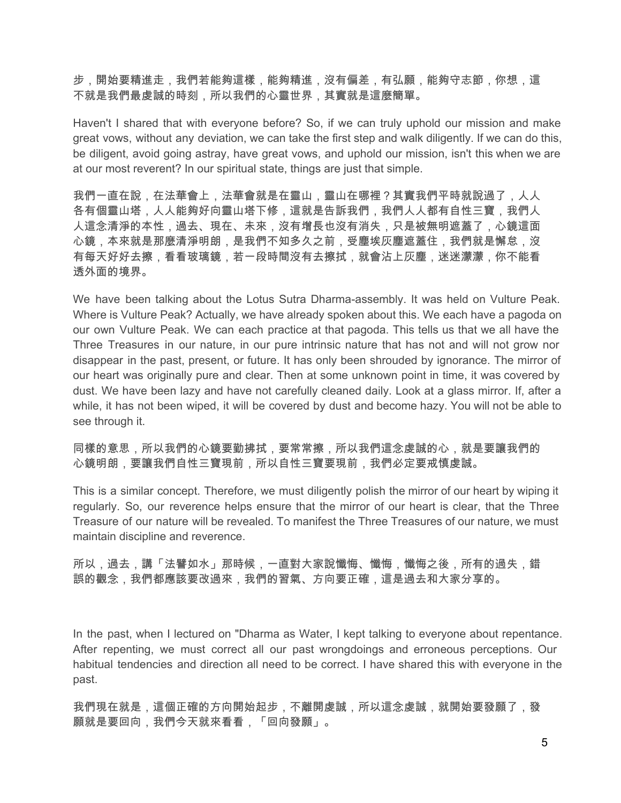步,開始要精進走,我們若能夠這樣,能夠精進,沒有偏差,有弘願,能夠守志節,你想,這 不就是我們最虔誠的時刻,所以我們的心靈世界,其實就是這麼簡單。

Haven't I shared that with everyone before? So, if we can truly uphold our mission and make great vows, without any deviation, we can take the first step and walk diligently. If we can do this, be diligent, avoid going astray, have great vows, and uphold our mission, isn't this when we are at our most reverent? In our spiritual state, things are just that simple.

我們一直在說,在法華會上,法華會就是在靈山,靈山在哪裡?其實我們平時就說過了,人人 各有個靈山塔,人人能夠好向靈山塔下修,這就是告訴我們,我們人人都有自性三寶,我們人 人這念清淨的本性,過去、現在、未來,沒有增長也沒有消失,只是被無明遮蓋了,心鏡這面 心鏡,本來就是那麼清淨明朗,是我們不知多久之前,受塵埃灰塵遮蓋住,我們就是懈怠,沒 有每天好好去擦,看看玻璃鏡,若一段時間沒有去擦拭,就會沾上灰塵,迷迷濛濛,你不能看 透外面的境界。

We have been talking about the Lotus Sutra Dharma-assembly. It was held on Vulture Peak. Where is Vulture Peak? Actually, we have already spoken about this. We each have a pagoda on our own Vulture Peak. We can each practice at that pagoda. This tells us that we all have the Three Treasures in our nature, in our pure intrinsic nature that has not and will not grow nor disappear in the past, present, or future. It has only been shrouded by ignorance. The mirror of our heart was originally pure and clear. Then at some unknown point in time, it was covered by dust. We have been lazy and have not carefully cleaned daily. Look at a glass mirror. If, after a while, it has not been wiped, it will be covered by dust and become hazy. You will not be able to see through it.

同樣的意思,所以我們的心鏡要勤拂拭,要常常擦,所以我們這念虔誠的心,就是要讓我們的 心鏡明朗,要讓我們自性三寶現前,所以自性三寶要現前,我們必定要戒慎虔誠。

This is a similar concept. Therefore, we must diligently polish the mirror of our heart by wiping it regularly. So, our reverence helps ensure that the mirror of our heart is clear, that the Three Treasure of our nature will be revealed. To manifest the Three Treasures of our nature, we must maintain discipline and reverence.

所以,過去,講「法譬如水」那時候,一直對大家說懺悔、懺悔,懺悔之後,所有的過失,錯 誤的觀念,我們都應該要改過來,我們的習氣、方向要正確,這是過去和大家分享的。

In the past, when I lectured on "Dharma as Water, I kept talking to everyone about repentance. After repenting, we must correct all our past wrongdoings and erroneous perceptions. Our habitual tendencies and direction all need to be correct. I have shared this with everyone in the past.

我們現在就是,這個正確的方向開始起步,不離開虔誠,所以這念虔誠,就開始要發願了,發 願就是要回向,我們今天就來看看,「回向發願」。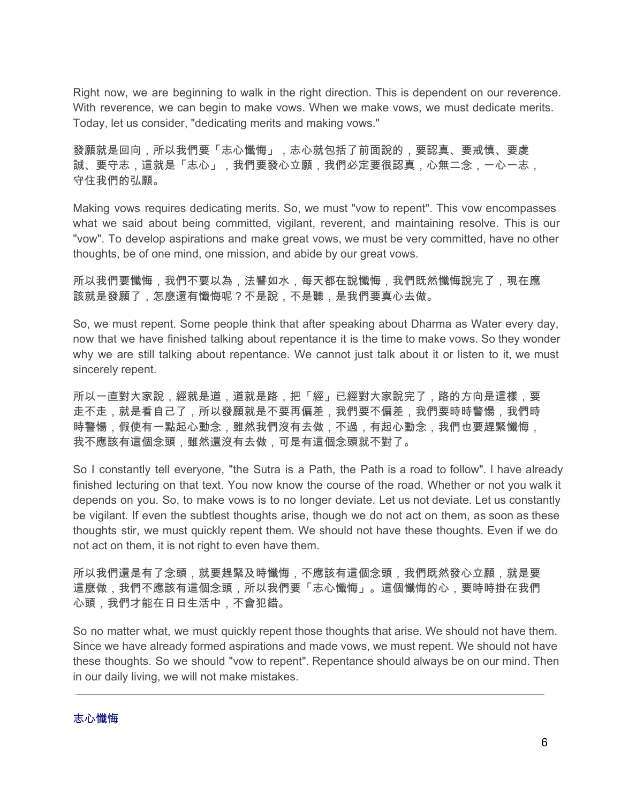Right now, we are beginning to walk in the right direction. This is dependent on our reverence. With reverence, we can begin to make vows. When we make vows, we must dedicate merits. Today, let us consider, "dedicating merits and making vows."

發願就是回向,所以我們要「志心懺悔」,志心就包括了前面說的,要認真、要戒慎、要虔 誠、要守志,這就是「志心」,我們要發心立願,我們必定要很認真,心無二念,一心一志, 守住我們的弘願。

Making vows requires dedicating merits. So, we must "vow to repent". This vow encompasses what we said about being committed, vigilant, reverent, and maintaining resolve. This is our "vow". To develop aspirations and make great vows, we must be very committed, have no other thoughts, be of one mind, one mission, and abide by our great vows.

所以我們要懺悔,我們不要以為,法譬如水,每天都在說懺悔,我們既然懺悔說完了,現在應 該就是發願了,怎麼還有懺悔呢?不是說,不是聽,是我們要真心去做。

So, we must repent. Some people think that after speaking about Dharma as Water every day, now that we have finished talking about repentance it is the time to make vows. So they wonder why we are still talking about repentance. We cannot just talk about it or listen to it, we must sincerely repent.

所以一直對大家說,經就是道,道就是路,把「經」已經對大家說完了,路的方向是這樣,要 走不走,就是看自己了,所以發願就是不要再偏差,我們要不偏差,我們要時時警愓,我們時 時警愓,假使有一點起心動念,雖然我們沒有去做,不過,有起心動念,我們也要趕緊懺悔, 我不應該有這個念頭,雖然還沒有去做,可是有這個念頭就不對了。

So I constantly tell everyone, "the Sutra is a Path, the Path is a road to follow". I have already finished lecturing on that text. You now know the course of the road. Whether or not you walk it depends on you. So, to make vows is to no longer deviate. Let us not deviate. Let us constantly be vigilant. If even the subtlest thoughts arise, though we do not act on them, as soon as these thoughts stir, we must quickly repent them. We should not have these thoughts. Even if we do not act on them, it is not right to even have them.

所以我們還是有了念頭,就要趕緊及時懺悔,不應該有這個念頭,我們既然發心立願,就是要 這麼做,我們不應該有這個念頭,所以我們要「志心懺悔」。這個懺悔的心,要時時掛在我們 心頭,我們才能在日日生活中,不會犯錯。

So no matter what, we must quickly repent those thoughts that arise. We should not have them. Since we have already formed aspirations and made vows, we must repent. We should not have these thoughts. So we should "vow to repent". Repentance should always be on our mind. Then in our daily living, we will not make mistakes.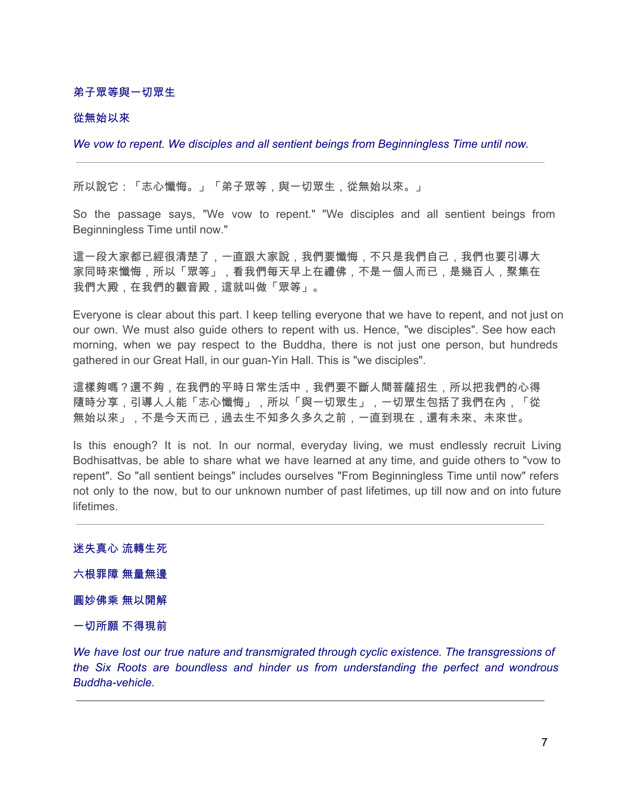#### 弟子眾等與一切眾生

#### 從無始以來

*We vow to repent. We disciples and all sentient beings from Beginningless Time until now.*

所以說它:「志心懺悔。」「弟子眾等,與一切眾生,從無始以來。」

So the passage says, "We vow to repent." "We disciples and all sentient beings from Beginningless Time until now."

這一段大家都已經很清楚了,一直跟大家說,我們要懺悔,不只是我們自己,我們也要引導大 家同時來懺悔,所以「眾等」,看我們每天早上在禮佛,不是一個人而已,是幾百人,聚集在 我們大殿,在我們的觀音殿,這就叫做「眾等」。

Everyone is clear about this part. I keep telling everyone that we have to repent, and not just on our own. We must also guide others to repent with us. Hence, "we disciples". See how each morning, when we pay respect to the Buddha, there is not just one person, but hundreds gathered in our Great Hall, in our guan-Yin Hall. This is "we disciples".

這樣夠嗎?還不夠,在我們的平時日常生活中,我們要不斷人間菩薩招生,所以把我們的心得 隨時分享,引導人人能「志心懺悔」,所以「與一切眾生」,一切眾生包括了我們在內,「從 無始以來」,不是今天而已,過去生不知多久多久之前,一直到現在,還有未來、未來世。

Is this enough? It is not. In our normal, everyday living, we must endlessly recruit Living Bodhisattvas, be able to share what we have learned at any time, and guide others to "vow to repent". So "all sentient beings" includes ourselves "From Beginningless Time until now" refers not only to the now, but to our unknown number of past lifetimes, up till now and on into future lifetimes.

迷失真心 流轉生死 六根罪障 無量無邊 圓妙佛乘 無以開解 一切所願 不得現前

*We have lost our true nature and transmigrated through cyclic existence. The transgressions of the Six Roots are boundless and hinder us from understanding the perfect and wondrous Buddha-vehicle.*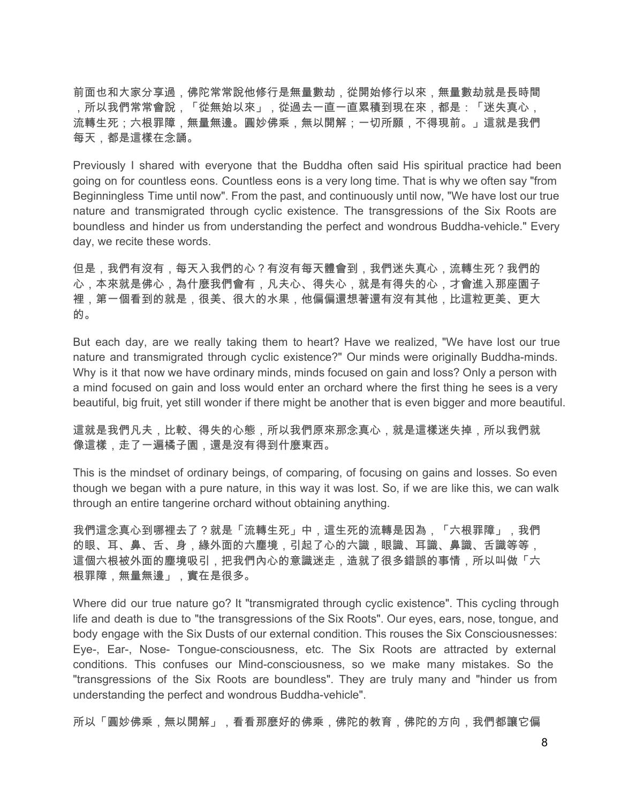前面也和大家分享過,佛陀常常說他修行是無量數劫,從開始修行以來,無量數劫就是長時間 ,所以我們常常會說,「從無始以來」,從過去一直一直累積到現在來,都是:「迷失真心, 流轉生死;六根罪障,無量無邊。圓妙佛乘,無以開解;一切所願,不得現前。」這就是我們 每天,都是這樣在念誦。

Previously I shared with everyone that the Buddha often said His spiritual practice had been going on for countless eons. Countless eons is a very long time. That is why we often say "from Beginningless Time until now". From the past, and continuously until now, "We have lost our true nature and transmigrated through cyclic existence. The transgressions of the Six Roots are boundless and hinder us from understanding the perfect and wondrous Buddha-vehicle." Every day, we recite these words.

但是,我們有沒有,每天入我們的心?有沒有每天體會到,我們迷失真心,流轉生死?我們的 心,本來就是佛心,為什麼我們會有,凡夫心、得失心,就是有得失的心,才會進入那座園子 裡,第一個看到的就是,很美、很大的水果,他偏偏還想著還有沒有其他,比這粒更美、更大 的。

But each day, are we really taking them to heart? Have we realized, "We have lost our true nature and transmigrated through cyclic existence?" Our minds were originally Buddha-minds. Why is it that now we have ordinary minds, minds focused on gain and loss? Only a person with a mind focused on gain and loss would enter an orchard where the first thing he sees is a very beautiful, big fruit, yet still wonder if there might be another that is even bigger and more beautiful.

這就是我們凡夫,比較、得失的心態,所以我們原來那念真心,就是這樣迷失掉,所以我們就 像這樣,走了一遍橘子園,還是沒有得到什麼東西。

This is the mindset of ordinary beings, of comparing, of focusing on gains and losses. So even though we began with a pure nature, in this way it was lost. So, if we are like this, we can walk through an entire tangerine orchard without obtaining anything.

我們這念真心到哪裡去了?就是「流轉生死」中,這生死的流轉是因為,「六根罪障」,我們 的眼、耳、鼻、舌、身,緣外面的六塵境,引起了心的六識,眼識、耳識、鼻識、舌識等等, 這個六根被外面的塵境吸引,把我們內心的意識迷走,造就了很多錯誤的事情,所以叫做「六 根罪障,無量無邊」,實在是很多。

Where did our true nature go? It "transmigrated through cyclic existence". This cycling through life and death is due to "the transgressions of the Six Roots". Our eyes, ears, nose, tongue, and body engage with the Six Dusts of our external condition. This rouses the Six Consciousnesses: Eye-, Ear-, Nose- Tongue-consciousness, etc. The Six Roots are attracted by external conditions. This confuses our Mind-consciousness, so we make many mistakes. So the "transgressions of the Six Roots are boundless". They are truly many and "hinder us from understanding the perfect and wondrous Buddha-vehicle".

所以「圓妙佛乘,無以開解」,看看那麼好的佛乘,佛陀的教育,佛陀的方向,我們都讓它偏